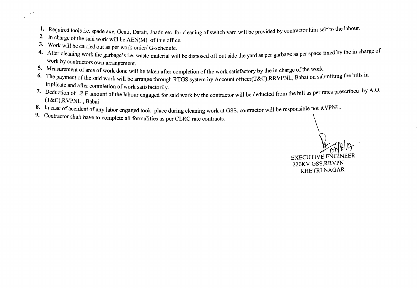- 1. Required tools i.e. spade axe, Genti, Darati, Jhadu etc. for cleaning of switch yard will be provided by contractor him self to the labour.
- 2. In charge of the said work will be AEN(M) of this office.
- 3. Work will be carried out as per work order/ G-schedule

.  $\epsilon$ 

 $\sim 10$ 

- 4. After cleaning work the garbage's i.e. waste material will be disposed off out side the yard as per garbage as per space fixed by the in charge of work by contractors own arrangement.
- 5. Measurement of area of work done will be taken after completion of the work satisfactory by the in charge of the work.
- 6. The payment of the said work will be arrange through RTGS system by Account officer(T&C),RRVPNL, Babai on submitting the bills in triplicate and after completion of work satisfactorily.
- 7. Deduction of .P.F amount of the labour engaged for said work by the contractor will be deducted from the bill as per rates prescribed by A.O. (T&C),RVPNL , Babai
- 8. In case of accident of any labor engaged took place during cleaning work at GSS, contractor will be responsible not RVPNL
- 9. Contractor shall have to complete all formalities as per CLRC rate contracts.

EXECUTIVE ENGINEER 220KV GSS,RRVPN KHETRI NAGAR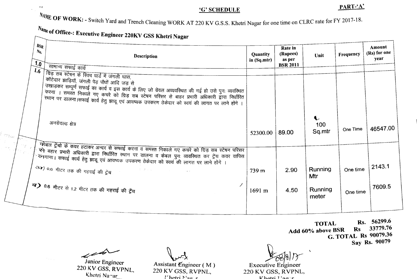## 'G' SCHEDULE

## PART-'A'

WE OF WORK: - Switch Yard and Trench Cleaning WORK AT 220 KV G.S.S. Khetri Nagar for one time on CLRC rate for FY 2017-18.

## $N_{a_{n}}$  of Office-: Executive Engineer 220KV GSS Khetri Nagar

 $\ddot{\phantom{0}}$ 

 $\mathcal{A}^{\pm}$ 

il string

| <b>BSR</b><br>$N_{0}$<br>1.0 | <b>Description</b><br>सामान्य सफाई कार्य                                                                                                                                                                                                                                                                                                                                                                | Quantity<br>in $(Sq.mtr)$ | Rate in<br>(Rupees)<br>as per<br><b>BSR 2011</b> | Unit                    | Frequency | Amount<br>(Rs) for one<br>year |
|------------------------------|---------------------------------------------------------------------------------------------------------------------------------------------------------------------------------------------------------------------------------------------------------------------------------------------------------------------------------------------------------------------------------------------------------|---------------------------|--------------------------------------------------|-------------------------|-----------|--------------------------------|
| 1.6                          | । ग्रिड़ सब स्टेषन के स्विच यार्ड में जंगली घास,<br>कॉटेदार झाड़ियॉ, जंगली पेड़ पौधों आदि जड़ से<br>उखाड़कर सम्पूर्ण सफाई का कार्य व इस कार्य के लिए जो ग्रेवल अव्यवस्थित की गई हो उसे पुनः व्यवस्थित<br>करना । समस्त निकाले गए कचरे को ग्रिड सब स्टेषन परिसर से बाहर प्रभारी अधिकारी द्वारा निर्धारित<br>स्थान पर डालना।सफाई कार्य हेतु झाडू एवं आवष्यक उपकरण ठेकेदार को स्वयं की लागत पर लाने होंगे । |                           |                                                  |                         |           |                                |
|                              | अनग्रेवल्ड क्षेत्र                                                                                                                                                                                                                                                                                                                                                                                      | 52300.00                  | 89.00                                            | 100<br>Sq.mtr           | One Time  | 46547.00                       |
|                              | केबल ट्रेंचों के कवर हटाकर अन्दर से सफाई करना व समस्त निकाले गए कचरे को ग्रिड़ सब स्टेषन परिसर<br>्स्के बहार प्रभारी अधिकारी द्वारा निर्धारित स्थान पर डालना व केबल पुनः व्यवस्थित कर ट्रेंच कवर वापिस<br>े लिगाना। सफाई कार्य हेतु झाडू एवं आवष्यक उपकरण ठेकेदार को स्वयं की लागत पर लाने होंगे ।<br>ॐ∢) ०.६ मीटर तक की गहराई की ट्रेंच<br>エンチュール                                                      | 739 m                     | 2.90                                             | Running                 | One time  | 2143.1                         |
|                              | <b>ब) 0.6</b> मीटर से 1.2 मीटर तक की गहराई की ट्रेंच                                                                                                                                                                                                                                                                                                                                                    | 1691 m                    | 4.50                                             | Mtr<br>Running<br>meter | One time  | 7609.5                         |
|                              |                                                                                                                                                                                                                                                                                                                                                                                                         |                           |                                                  |                         |           |                                |

TOTAL Rs. 56299.6<br>
chove BSR Rs. 33779.76 Add 60% above BSR Rs G. TOTAL Rs 90079.36 Say Rs. 90079

 $\mathcal{L}$ 

 $\sigma_{\rm 2000}$ 

Junior Engineer 220 KV GSS, RVPNL, Khetri Na<sup>+</sup>ar

مبر<br>Assistant Engineer ( M )

220 KV GSS, RVPNL,  $\Gamma$ hetri N'ao: r

*~Sb)!J '*

Executive Engineer 220 KV GSS, RVPNL, $V$  hatri  $\overline{V}$ aa-r